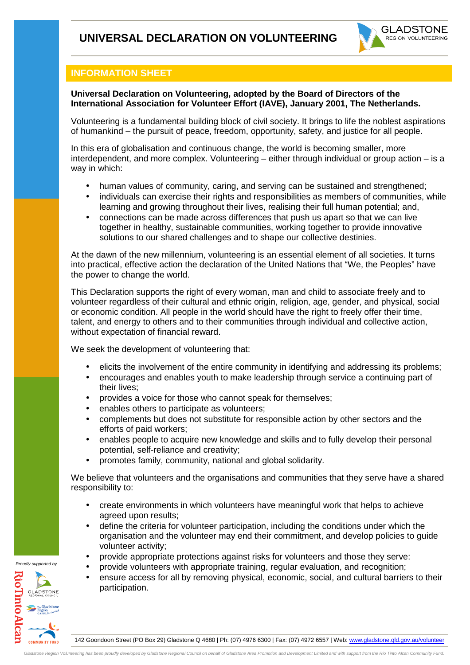

## **INFORMATION SHEET**

## **Universal Declaration on Volunteering, adopted by the Board of Directors of the International Association for Volunteer Effort (IAVE), January 2001, The Netherlands.**

Volunteering is a fundamental building block of civil society. It brings to life the noblest aspirations of humankind – the pursuit of peace, freedom, opportunity, safety, and justice for all people.

In this era of globalisation and continuous change, the world is becoming smaller, more interdependent, and more complex. Volunteering – either through individual or group action – is a way in which:

- human values of community, caring, and serving can be sustained and strengthened;
- individuals can exercise their rights and responsibilities as members of communities, while learning and growing throughout their lives, realising their full human potential; and,
- connections can be made across differences that push us apart so that we can live together in healthy, sustainable communities, working together to provide innovative solutions to our shared challenges and to shape our collective destinies.

At the dawn of the new millennium, volunteering is an essential element of all societies. It turns into practical, effective action the declaration of the United Nations that "We, the Peoples" have the power to change the world.

This Declaration supports the right of every woman, man and child to associate freely and to volunteer regardless of their cultural and ethnic origin, religion, age, gender, and physical, social or economic condition. All people in the world should have the right to freely offer their time, talent, and energy to others and to their communities through individual and collective action, without expectation of financial reward.

We seek the development of volunteering that:

- elicits the involvement of the entire community in identifying and addressing its problems;
- encourages and enables youth to make leadership through service a continuing part of their lives;
- provides a voice for those who cannot speak for themselves:
- enables others to participate as volunteers;
- complements but does not substitute for responsible action by other sectors and the efforts of paid workers;
- enables people to acquire new knowledge and skills and to fully develop their personal potential, self-reliance and creativity;
- promotes family, community, national and global solidarity.

We believe that volunteers and the organisations and communities that they serve have a shared responsibility to:

- create environments in which volunteers have meaningful work that helps to achieve agreed upon results;
- define the criteria for volunteer participation, including the conditions under which the organisation and the volunteer may end their commitment, and develop policies to guide volunteer activity;
- provide appropriate protections against risks for volunteers and those they serve:
- provide volunteers with appropriate training, regular evaluation, and recognition;
- ensure access for all by removing physical, economic, social, and cultural barriers to their participation.

Proudly supported by